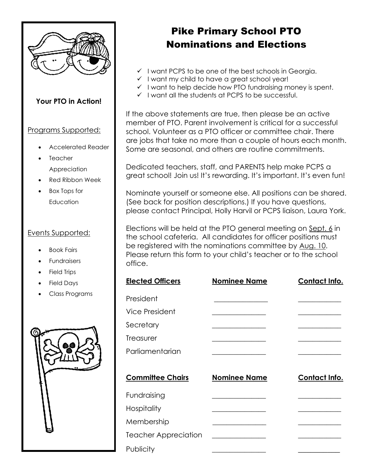

# **Your PTO in Action!**

## Programs Supported:

- Accelerated Reader
- **Teacher** Appreciation
- Red Ribbon Week
- Box Tops for **Education**

### Events Supported:

- Book Fairs
- **Fundraisers**
- Field Trips
- Field Days
- Class Programs



# Pike Primary School PTO Nominations and Elections

- ✓ I want PCPS to be one of the best schools in Georgia.
- ✓ I want my child to have a great school year!
- $\checkmark$  I want to help decide how PTO fundraising money is spent.
- ✓ I want all the students at PCPS to be successful.

If the above statements are true, then please be an active member of PTO. Parent involvement is critical for a successful school. Volunteer as a PTO officer or committee chair. There are jobs that take no more than a couple of hours each month. Some are seasonal, and others are routine commitments.

Dedicated teachers, staff, and PARENTS help make PCPS a great school! Join us! It's rewarding. It's important. It's even fun!

Nominate yourself or someone else. All positions can be shared. (See back for position descriptions.) If you have questions, please contact Principal, Holly Harvil or PCPS liaison, Laura York.

Elections will be held at the PTO general meeting on Sept. 6 in the school cafeteria. All candidates for officer positions must be registered with the nominations committee by Aug. 10. Please return this form to your child's teacher or to the school office.

| <b>Elected Officers</b>     | <b>Nominee Name</b>                     | Contact Info. |
|-----------------------------|-----------------------------------------|---------------|
| President                   |                                         |               |
| <b>Vice President</b>       |                                         |               |
| Secretary                   | <u> 1989 - Johann Barbara, martxa a</u> |               |
| Treasurer                   |                                         |               |
| Parliamentarian             |                                         |               |
|                             |                                         |               |
| <b>Committee Chairs</b>     | <b>Nominee Name</b>                     | Contact Info. |
| Fundraising                 |                                         |               |
| <b>Hospitality</b>          |                                         |               |
| Membership                  |                                         |               |
| <b>Teacher Appreciation</b> |                                         |               |